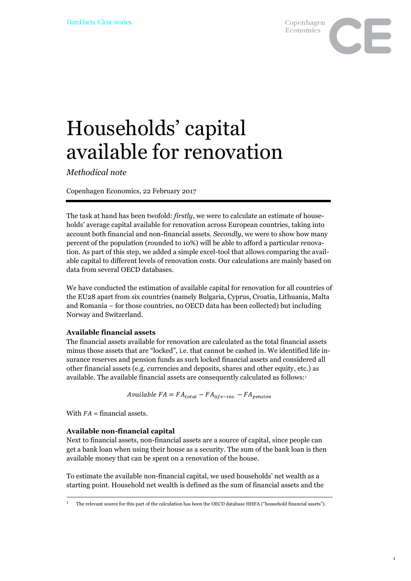

# Households' capital available for renovation

*Methodical note*

Copenhagen Economics, 22 February 2017

The task at hand has been twofold: *firstly*, we were to calculate an estimate of households' average capital available for renovation across European countries, taking into account both financial and non-financial assets. *Secondly*, we were to show how many percent of the population (rounded to 10%) will be able to afford a particular renovation. As part of this step, we added a simple excel-tool that allows comparing the available capital to different levels of renovation costs. Our calculations are mainly based on data from several OECD databases.

We have conducted the estimation of available capital for renovation for all countries of the EU28 apart from six countries (namely Bulgaria, Cyprus, Croatia, Lithuania, Malta and Romania – for those countries, no OECD data has been collected) but including Norway and Switzerland.

### **Available financial assets**

The financial assets available for renovation are calculated as the total financial assets minus those assets that are "locked", i.e. that cannot be cashed in. We identified life insurance reserves and pension funds as such locked financial assets and considered all other financial assets (e.g. currencies and deposits, shares and other equity, etc.) as available. The available financial assets are consequently calculated as follows:<sup>1</sup>

Available  $FA = FA_{total} - FA_{life - ins.} - FA_{pension}$ 

With  $FA =$  financial assets.

#### **Available non-financial capital**

Next to financial assets, non-financial assets are a source of capital, since people can get a bank loan when using their house as a security. The sum of the bank loan is then available money that can be spent on a renovation of the house.

To estimate the available non-financial capital, we used households' net wealth as a starting point. Household net wealth is defined as the sum of financial assets and the

<sup>-</sup><sup>1</sup> The relevant source for this part of the calculation has been the OECD database HHFA ("household financial assets").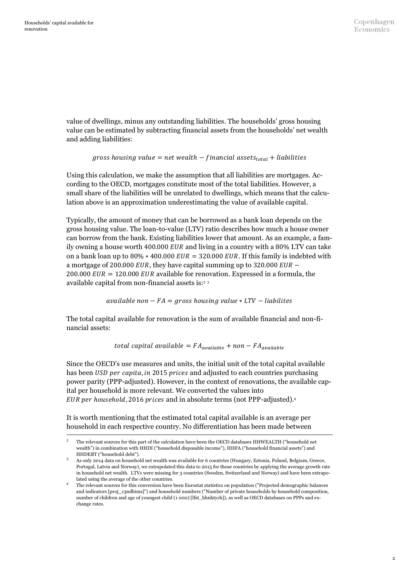-

value of dwellings, minus any outstanding liabilities. The households' gross housing value can be estimated by subtracting financial assets from the households' net wealth and adding liabilities:

#### gross housing value = net wealth  $-$  financial assets<sub>total</sub> + liabilities

Using this calculation, we make the assumption that all liabilities are mortgages. According to the OECD, mortgages constitute most of the total liabilities. However, a small share of the liabilities will be unrelated to dwellings, which means that the calculation above is an approximation underestimating the value of available capital.

Typically, the amount of money that can be borrowed as a bank loan depends on the gross housing value. The loan-to-value (LTV) ratio describes how much a house owner can borrow from the bank. Existing liabilities lower that amount. As an example, a family owning a house worth 400.000  $EUR$  and living in a country with a 80% LTV can take on a bank loan up to  $80\% * 400.000$   $EUR = 320.000$   $EUR$ . If this family is indebted with a mortgage of 200.000 *EUR*, they have capital summing up to 320.000 *EUR* – 200.000  $EUR = 120.000$   $EUR$  available for renovation. Expressed in a formula, the available capital from non-financial assets is:<sup>2</sup> <sup>3</sup>

 $available$  non  $- FA = gross$  housing value  $* LTV - liabilities$ 

The total capital available for renovation is the sum of available financial and non-financial assets:

total capital available =  $FA_{available}$  + non -  $FA_{available}$ 

Since the OECD's use measures and units, the initial unit of the total capital available has been *USD per capita, in* 2015 *prices* and adjusted to each countries purchasing power parity (PPP-adjusted). However, in the context of renovations, the available capital per household is more relevant. We converted the values into EUR per household, 2016 prices and in absolute terms (not PPP-adjusted).<sup>4</sup>

It is worth mentioning that the estimated total capital available is an average per household in each respective country. No differentiation has been made between

<sup>2</sup> The relevant sources for this part of the calculation have been the OECD databases HHWEALTH ("household net wealth") in combination with HHDI ("household disposable income"), HHFA ("household financial assets") and HHDEBT ("household debt").

<sup>3</sup> As only 2014 data on household net wealth was available for 6 countries (Hungary, Estonia, Poland, Belgium, Greece, Portugal, Latvia and Norway), we extrapolated this data to 2015 for those countries by applying the average growth rate in household net wealth. LTVs were missing for 3 countries (Sweden, Switzerland and Norway) and have been extrapolated using the average of the other countries.

<sup>4</sup> The relevant sources for this conversion have been Eurostat statistics on population ("Projected demographic balances and indicators [proj\_13ndbims]") and household numbers ("Number of private households by household composition, number of children and age of youngest child (1 000) [lfst\_hhnhtych]), as well as OECD databases on PPPs and exchange rates.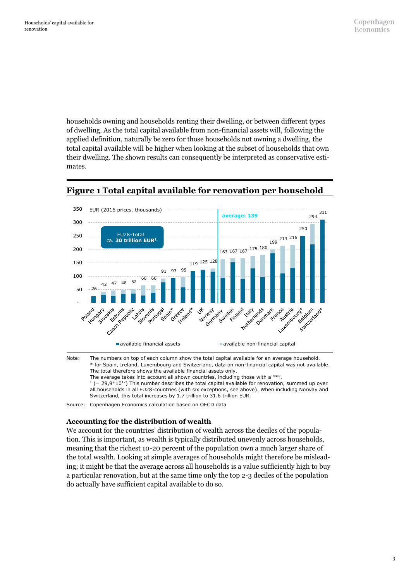households owning and households renting their dwelling, or between different types of dwelling. As the total capital available from non-financial assets will, following the applied definition, naturally be zero for those households not owning a dwelling, the total capital available will be higher when looking at the subset of households that own their dwelling. The shown results can consequently be interpreted as conservative estimates.



## **Figure 1 Total capital available for renovation per household**

Note: The numbers on top of each column show the total capital available for an average household. \* for Spain, Ireland, Luxembourg and Switzerland, data on non-financial capital was not available. The total therefore shows the available financial assets only. The average takes into account all shown countries, including those with a "\*".

 $1$  (= 29,9\*10<sup>12</sup>) This number describes the total capital available for renovation, summed up over

all households in all EU28-countries (with six exceptions, see above). When including Norway and Switzerland, this total increases by 1.7 trillion to 31.6 trillion EUR.

Source: Copenhagen Economics calculation based on OECD data

## **Accounting for the distribution of wealth**

We account for the countries' distribution of wealth across the deciles of the population. This is important, as wealth is typically distributed unevenly across households, meaning that the richest 10-20 percent of the population own a much larger share of the total wealth. Looking at simple averages of households might therefore be misleading; it might be that the average across all households is a value sufficiently high to buy a particular renovation, but at the same time only the top 2-3 deciles of the population do actually have sufficient capital available to do so.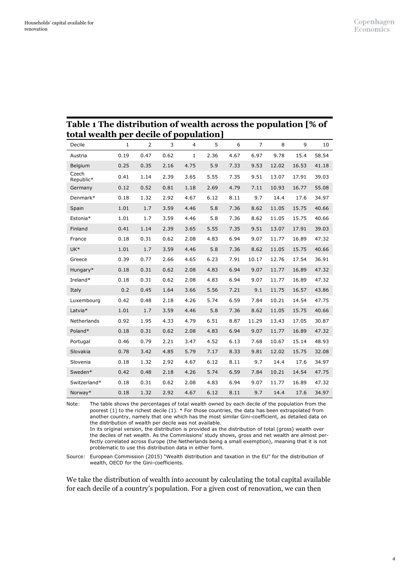| total wealth per decile of population] |              |      |      |      |      |      |                |       |       |       |
|----------------------------------------|--------------|------|------|------|------|------|----------------|-------|-------|-------|
| Decile                                 | $\mathbf{1}$ | 2    | 3    | 4    | 5    | 6    | $\overline{7}$ | 8     | 9     | 10    |
| Austria                                | 0.19         | 0.47 | 0.62 | 1    | 2.36 | 4.67 | 6.97           | 9.78  | 15.4  | 58.54 |
| Belgium                                | 0.25         | 0.35 | 2.16 | 4.75 | 5.9  | 7.33 | 9.53           | 12.02 | 16.53 | 41.18 |
| Czech<br>Republic*                     | 0.41         | 1.14 | 2.39 | 3.65 | 5.55 | 7.35 | 9.51           | 13.07 | 17.91 | 39.03 |
| Germany                                | 0.12         | 0.52 | 0.81 | 1.18 | 2.69 | 4.79 | 7.11           | 10.93 | 16.77 | 55.08 |
| Denmark*                               | 0.18         | 1.32 | 2.92 | 4.67 | 6.12 | 8.11 | 9.7            | 14.4  | 17.6  | 34.97 |
| Spain                                  | 1.01         | 1.7  | 3.59 | 4.46 | 5.8  | 7.36 | 8.62           | 11.05 | 15.75 | 40.66 |
| Estonia*                               | 1.01         | 1.7  | 3.59 | 4.46 | 5.8  | 7.36 | 8.62           | 11.05 | 15.75 | 40.66 |
| Finland                                | 0.41         | 1.14 | 2.39 | 3.65 | 5.55 | 7.35 | 9.51           | 13.07 | 17.91 | 39.03 |
| France                                 | 0.18         | 0.31 | 0.62 | 2.08 | 4.83 | 6.94 | 9.07           | 11.77 | 16.89 | 47.32 |
| UK <sup>*</sup>                        | 1.01         | 1.7  | 3.59 | 4.46 | 5.8  | 7.36 | 8.62           | 11.05 | 15.75 | 40.66 |
| Greece                                 | 0.39         | 0.77 | 2.66 | 4.65 | 6.23 | 7.91 | 10.17          | 12.76 | 17.54 | 36.91 |
| Hungary*                               | 0.18         | 0.31 | 0.62 | 2.08 | 4.83 | 6.94 | 9.07           | 11.77 | 16.89 | 47.32 |
| Ireland*                               | 0.18         | 0.31 | 0.62 | 2.08 | 4.83 | 6.94 | 9.07           | 11.77 | 16.89 | 47.32 |
| Italy                                  | 0.2          | 0.45 | 1.64 | 3.66 | 5.56 | 7.21 | 9.1            | 11.75 | 16.57 | 43.86 |
| Luxembourg                             | 0.42         | 0.48 | 2.18 | 4.26 | 5.74 | 6.59 | 7.84           | 10.21 | 14.54 | 47.75 |
| Latvia*                                | 1.01         | 1.7  | 3.59 | 4.46 | 5.8  | 7.36 | 8.62           | 11.05 | 15.75 | 40.66 |
| Netherlands                            | 0.92         | 1.95 | 4.33 | 4.79 | 6.51 | 8.87 | 11.29          | 13.43 | 17.05 | 30.87 |
| Poland*                                | 0.18         | 0.31 | 0.62 | 2.08 | 4.83 | 6.94 | 9.07           | 11.77 | 16.89 | 47.32 |
| Portugal                               | 0.46         | 0.79 | 2.21 | 3.47 | 4.52 | 6.13 | 7.68           | 10.67 | 15.14 | 48.93 |
| Slovakia                               | 0.78         | 3.42 | 4.85 | 5.79 | 7.17 | 8.33 | 9.81           | 12.02 | 15.75 | 32.08 |
| Slovenia                               | 0.18         | 1.32 | 2.92 | 4.67 | 6.12 | 8.11 | 9.7            | 14.4  | 17.6  | 34.97 |
| Sweden*                                | 0.42         | 0.48 | 2.18 | 4.26 | 5.74 | 6.59 | 7.84           | 10.21 | 14.54 | 47.75 |
| Switzerland*                           | 0.18         | 0.31 | 0.62 | 2.08 | 4.83 | 6.94 | 9.07           | 11.77 | 16.89 | 47.32 |
| Norway*                                | 0.18         | 1.32 | 2.92 | 4.67 | 6.12 | 8.11 | 9.7            | 14.4  | 17.6  | 34.97 |

## **Table 1 The distribution of wealth across the population [% of**

Note: The table shows the percentages of total wealth owned by each decile of the population from the poorest (1) to the richest decile (1). \* For those countries, the data has been extrapolated from another country, namely that one which has the most similar Gini-coefficient, as detailed data on the distribution of wealth per decile was not available.

In its original version, the distribution is provided as the distribution of total (gross) wealth over the deciles of net wealth. As the Commissions' study shows, gross and net wealth are almost perfectly correlated across Europe (the Netherlands being a small exemption), meaning that it is not problematic to use this distribution data in either form.

Source: European Commission (2015) "Wealth distribution and taxation in the EU" for the distribution of wealth, OECD for the Gini-coefficients.

We take the distribution of wealth into account by calculating the total capital available for each decile of a country's population. For a given cost of renovation, we can then